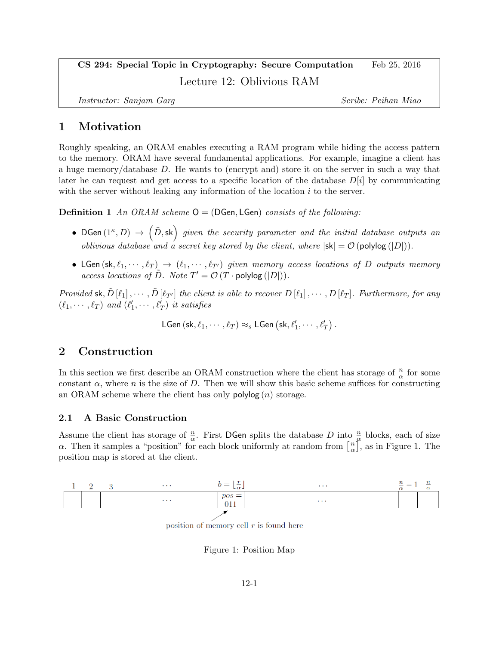# CS 294: Special Topic in Cryptography: Secure Computation Feb 25, 2016 Lecture 12: Oblivious RAM

Instructor: Sanjam Garg Scribe: Peihan Miao

### 1 Motivation

Roughly speaking, an ORAM enables executing a RAM program while hiding the access pattern to the memory. ORAM have several fundamental applications. For example, imagine a client has a huge memory/database D. He wants to (encrypt and) store it on the server in such a way that later he can request and get access to a specific location of the database  $D[i]$  by communicating with the server without leaking any information of the location  $i$  to the server.

**Definition 1** An ORAM scheme  $Q = (DGen, LGen)$  consists of the following:

- DGen $(1^{\kappa}, D) \rightarrow (\tilde{D}, sk)$  given the security parameter and the initial database outputs an *oblivious database and a secret key stored by the client, where*  $|\mathsf{sk}| = \mathcal{O}(\text{polylog}(|D|)).$
- LGen  $(\mathsf{sk}, \ell_1, \dots, \ell_T) \rightarrow (\ell_1, \dots, \ell_{T'})$  given memory access locations of D outputs memory access locations of  $\tilde{D}$ . Note  $T' = \mathcal{O}(T \cdot \text{polylog}(|D|)).$

Provided sk,  $\tilde{D}[\ell_1], \cdots, \tilde{D}[\ell_{T'}]$  the client is able to recover  $D[\ell_1], \cdots, D[\ell_T]$ . Furthermore, for any  $(\ell_1, \cdots, \ell_T)$  and  $(\ell'_1, \cdots, \ell'_T)$  it satisfies

LGen  $(\mathsf{sk}, \ell_1, \cdots, \ell_T) \approx_s \mathsf{LGen} \left( \mathsf{sk}, \ell'_1, \cdots, \ell'_T \right)$  .

### 2 Construction

In this section we first describe an ORAM construction where the client has storage of  $\frac{n}{\alpha}$  for some constant  $\alpha$ , where n is the size of D. Then we will show this basic scheme suffices for constructing an ORAM scheme where the client has only  $\mathsf{polylog}(n)$  storage.

#### 2.1 A Basic Construction

Assume the client has storage of  $\frac{n}{\alpha}$ . First DGen splits the database D into  $\frac{n}{\alpha}$  blocks, each of size  $\alpha$ . Then it samples a "position" for each block uniformly at random from  $\left[\frac{n}{\alpha}\right]$  $\frac{n}{\alpha}$ , as in Figure 1. The position map is stored at the client.



position of memory cell  $r$  is found here

Figure 1: Position Map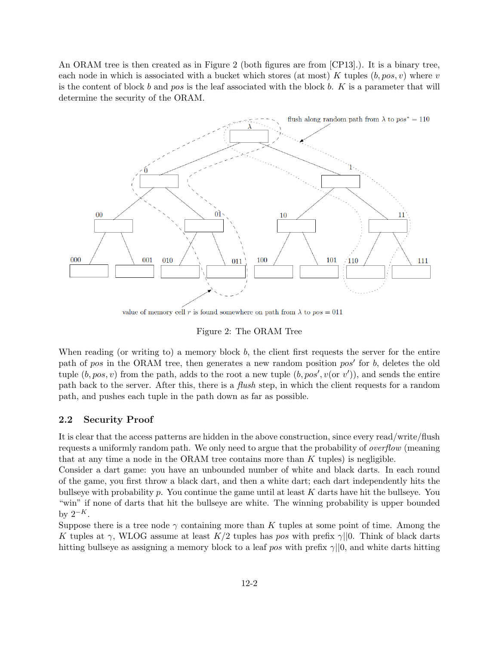An ORAM tree is then created as in Figure 2 (both figures are from [CP13].). It is a binary tree, each node in which is associated with a bucket which stores (at most) K tuples  $(b, pos, v)$  where v is the content of block b and pos is the leaf associated with the block b. K is a parameter that will determine the security of the ORAM.



value of memory cell r is found somewhere on path from  $\lambda$  to  $pos = 011$ 

Figure 2: The ORAM Tree

When reading (or writing to) a memory block b, the client first requests the server for the entire path of pos in the ORAM tree, then generates a new random position  $pos'$  for b, deletes the old tuple  $(b, pos, v)$  from the path, adds to the root a new tuple  $(b, pos', v (or v'))$ , and sends the entire path back to the server. After this, there is a flush step, in which the client requests for a random path, and pushes each tuple in the path down as far as possible.

#### 2.2 Security Proof

It is clear that the access patterns are hidden in the above construction, since every read/write/flush requests a uniformly random path. We only need to argue that the probability of overflow (meaning that at any time a node in the ORAM tree contains more than K tuples) is negligible.

Consider a dart game: you have an unbounded number of white and black darts. In each round of the game, you first throw a black dart, and then a white dart; each dart independently hits the bullseye with probability  $p$ . You continue the game until at least  $K$  darts have hit the bullseye. You "win" if none of darts that hit the bullseye are white. The winning probability is upper bounded by  $2^{-K}$ .

Suppose there is a tree node  $\gamma$  containing more than K tuples at some point of time. Among the K tuples at  $\gamma$ , WLOG assume at least K/2 tuples has pos with prefix  $\gamma$ ||0. Think of black darts hitting bullseye as assigning a memory block to a leaf pos with prefix  $\gamma$ ||0, and white darts hitting